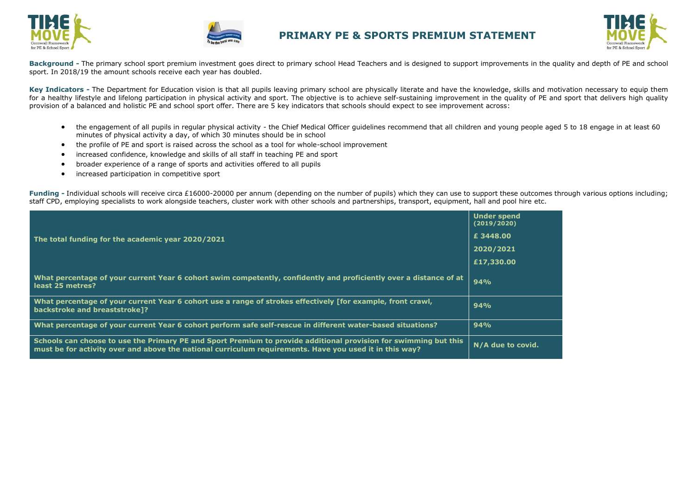





**Background -** The primary school sport premium investment goes direct to primary school Head Teachers and is designed to support improvements in the quality and depth of PE and school sport. In 2018/19 the amount schools receive each year has doubled.

Key Indicators - The Department for Education vision is that all pupils leaving primary school are physically literate and have the knowledge, skills and motivation necessary to equip them for a healthy lifestyle and lifelong participation in physical activity and sport. The objective is to achieve self-sustaining improvement in the quality of PE and sport that delivers high quality provision of a balanced and holistic PE and school sport offer. There are 5 key indicators that schools should expect to see improvement across:

- the engagement of all pupils in regular physical activity the Chief Medical Officer guidelines recommend that all children and young people aged 5 to 18 engage in at least 60 minutes of physical activity a day, of which 30 minutes should be in school
- the profile of PE and sport is raised across the school as a tool for whole-school improvement
- increased confidence, knowledge and skills of all staff in teaching PE and sport
- broader experience of a range of sports and activities offered to all pupils
- increased participation in competitive sport

**Funding -** Individual schools will receive circa £16000-20000 per annum (depending on the number of pupils) which they can use to support these outcomes through various options including; staff CPD, employing specialists to work alongside teachers, cluster work with other schools and partnerships, transport, equipment, hall and pool hire etc.

|                                                                                                                                                                                                                             | <b>Under spend</b><br>(2019/2020) |
|-----------------------------------------------------------------------------------------------------------------------------------------------------------------------------------------------------------------------------|-----------------------------------|
| The total funding for the academic year 2020/2021                                                                                                                                                                           | £3448.00                          |
|                                                                                                                                                                                                                             | 2020/2021                         |
|                                                                                                                                                                                                                             | £17,330.00                        |
| What percentage of your current Year 6 cohort swim competently, confidently and proficiently over a distance of at<br>least 25 metres?                                                                                      | 94%                               |
| What percentage of your current Year 6 cohort use a range of strokes effectively [for example, front crawl,<br>backstroke and breaststroke]?                                                                                | 94%                               |
| What percentage of your current Year 6 cohort perform safe self-rescue in different water-based situations?                                                                                                                 | 94%                               |
| Schools can choose to use the Primary PE and Sport Premium to provide additional provision for swimming but this<br>must be for activity over and above the national curriculum requirements. Have you used it in this way? | N/A due to covid.                 |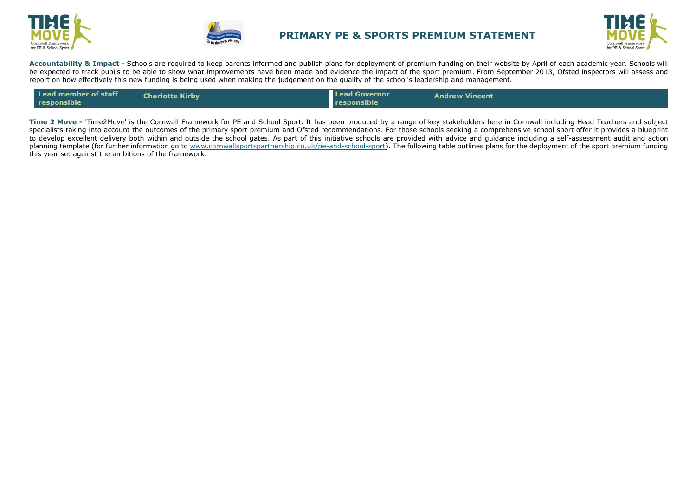





**Accountability & Impact -** Schools are required to keep parents informed and publish plans for deployment of premium funding on their website by April of each academic year. Schools will be expected to track pupils to be able to show what improvements have been made and [evidence the impact o](http://www.cornwallsportspartnership.co.uk/)f the sport premium. From September 2013, [Ofsted](http://www.ofsted.gov.uk/inspection-reports/our-expert-knowledge/physical-education) inspectors will assess and report on how effectively this new funding is being used when making the judgement on the quality of the school's leadership and management.

|  | Lead member of staff<br>responsible | <b>Charlotte Kirby</b> | <b>Lead Governor</b><br>responsible | <b>Andrew Vincent</b> |
|--|-------------------------------------|------------------------|-------------------------------------|-----------------------|
|--|-------------------------------------|------------------------|-------------------------------------|-----------------------|

**Time 2 Move -** 'Time2Move' is the Cornwall Framework for PE and School Sport. It has been produced by a range of key stakeholders here in Cornwall including Head Teachers and subject specialists taking into account the outcomes of the primary sport premium and Ofsted recommendations. For those schools seeking a comprehensive school sport offer it provides a blueprint to develop excellent delivery both within and outside the school gates. As part of this initiative schools are provided with advice and guidance including a self-assessment audit and action planning template (for further information go to [www.cornwallsportspartnership.co.uk/pe-and-school-sport\)](http://www.cornwallsportspartnership.co.uk/pe-and-school-sport). The following table outlines plans for the deployment of the sport premium funding this year set against the ambitions of the framework.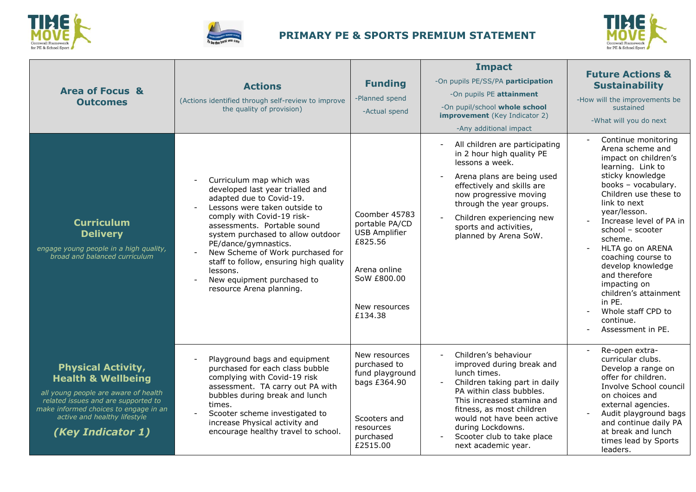





| <b>Area of Focus &amp;</b><br><b>Outcomes</b>                                                                                                                                                                                           | <b>Actions</b><br>(Actions identified through self-review to improve<br>the quality of provision)                                                                                                                                                                                                                                                                                                       | <b>Funding</b><br>-Planned spend<br>-Actual spend                                                                             | <b>Impact</b><br>-On pupils PE/SS/PA participation<br>-On pupils PE attainment<br>-On pupil/school whole school<br><b>improvement</b> (Key Indicator 2)<br>-Any additional impact                                                                                                                 | <b>Future Actions &amp;</b><br><b>Sustainability</b><br>-How will the improvements be<br>sustained<br>-What will you do next                                                                                                                                                                                                                                                                                                                            |
|-----------------------------------------------------------------------------------------------------------------------------------------------------------------------------------------------------------------------------------------|---------------------------------------------------------------------------------------------------------------------------------------------------------------------------------------------------------------------------------------------------------------------------------------------------------------------------------------------------------------------------------------------------------|-------------------------------------------------------------------------------------------------------------------------------|---------------------------------------------------------------------------------------------------------------------------------------------------------------------------------------------------------------------------------------------------------------------------------------------------|---------------------------------------------------------------------------------------------------------------------------------------------------------------------------------------------------------------------------------------------------------------------------------------------------------------------------------------------------------------------------------------------------------------------------------------------------------|
| <b>Curriculum</b><br><b>Delivery</b><br>engage young people in a high quality,<br>broad and balanced curriculum                                                                                                                         | Curriculum map which was<br>developed last year trialled and<br>adapted due to Covid-19.<br>Lessons were taken outside to<br>comply with Covid-19 risk-<br>assessments. Portable sound<br>system purchased to allow outdoor<br>PE/dance/gymnastics.<br>New Scheme of Work purchased for<br>staff to follow, ensuring high quality<br>lessons.<br>New equipment purchased to<br>resource Arena planning. | Coomber 45783<br>portable PA/CD<br><b>USB Amplifier</b><br>£825.56<br>Arena online<br>SoW £800.00<br>New resources<br>£134.38 | All children are participating<br>in 2 hour high quality PE<br>lessons a week.<br>Arena plans are being used<br>effectively and skills are<br>now progressive moving<br>through the year groups.<br>Children experiencing new<br>sports and activities,<br>planned by Arena SoW.                  | Continue monitoring<br>$\sim$<br>Arena scheme and<br>impact on children's<br>learning. Link to<br>sticky knowledge<br>books - vocabulary.<br>Children use these to<br>link to next<br>year/lesson.<br>Increase level of PA in<br>school - scooter<br>scheme.<br>HLTA go on ARENA<br>coaching course to<br>develop knowledge<br>and therefore<br>impacting on<br>children's attainment<br>in PE.<br>Whole staff CPD to<br>continue.<br>Assessment in PE. |
| <b>Physical Activity,</b><br><b>Health &amp; Wellbeing</b><br>all young people are aware of health<br>related issues and are supported to<br>make informed choices to engage in an<br>active and healthy lifestyle<br>(Key Indicator 1) | Playground bags and equipment<br>purchased for each class bubble<br>complying with Covid-19 risk<br>assessment. TA carry out PA with<br>bubbles during break and lunch<br>times.<br>Scooter scheme investigated to<br>increase Physical activity and<br>encourage healthy travel to school.                                                                                                             | New resources<br>purchased to<br>fund playground<br>bags £364.90<br>Scooters and<br>resources<br>purchased<br>£2515.00        | Children's behaviour<br>improved during break and<br>lunch times.<br>Children taking part in daily<br>PA within class bubbles.<br>This increased stamina and<br>fitness, as most children<br>would not have been active<br>during Lockdowns.<br>Scooter club to take place<br>next academic year. | Re-open extra-<br>curricular clubs.<br>Develop a range on<br>offer for children.<br>Involve School council<br>on choices and<br>external agencies.<br>Audit playground bags<br>and continue daily PA<br>at break and lunch<br>times lead by Sports<br>leaders.                                                                                                                                                                                          |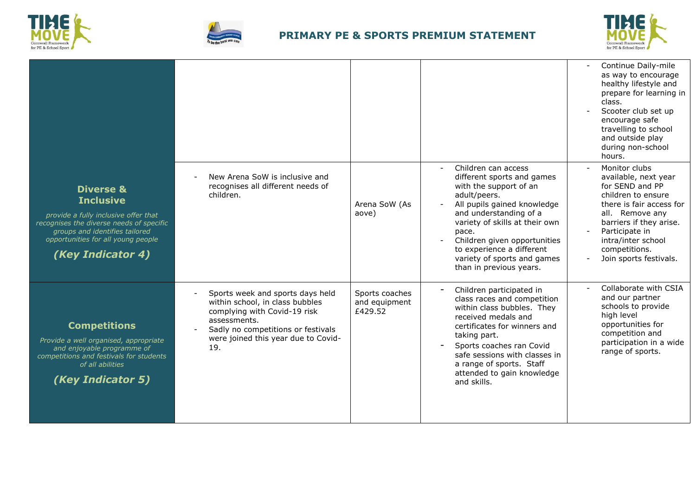





|                                                                                                                                                                                                                           |                                                                                                                                                                                                         |                                            |                                                                                                                                                                                                                                                                                                                        | Continue Daily-mile<br>as way to encourage<br>healthy lifestyle and<br>prepare for learning in<br>class.<br>Scooter club set up<br>encourage safe<br>travelling to school<br>and outside play<br>during non-school<br>hours.                |
|---------------------------------------------------------------------------------------------------------------------------------------------------------------------------------------------------------------------------|---------------------------------------------------------------------------------------------------------------------------------------------------------------------------------------------------------|--------------------------------------------|------------------------------------------------------------------------------------------------------------------------------------------------------------------------------------------------------------------------------------------------------------------------------------------------------------------------|---------------------------------------------------------------------------------------------------------------------------------------------------------------------------------------------------------------------------------------------|
| <b>Diverse &amp;</b><br><b>Inclusive</b><br>provide a fully inclusive offer that<br>recognises the diverse needs of specific<br>groups and identifies tailored<br>opportunities for all young people<br>(Key Indicator 4) | New Arena SoW is inclusive and<br>recognises all different needs of<br>children.                                                                                                                        | Arena SoW (As<br>aove)                     | Children can access<br>different sports and games<br>with the support of an<br>adult/peers.<br>All pupils gained knowledge<br>and understanding of a<br>variety of skills at their own<br>pace.<br>Children given opportunities<br>to experience a different<br>variety of sports and games<br>than in previous years. | Monitor clubs<br>available, next year<br>for SEND and PP<br>children to ensure<br>there is fair access for<br>all. Remove any<br>barriers if they arise.<br>Participate in<br>intra/inter school<br>competitions.<br>Join sports festivals. |
| <b>Competitions</b><br>Provide a well organised, appropriate<br>and enjoyable programme of<br>competitions and festivals for students<br>of all abilities<br>(Key Indicator 5)                                            | Sports week and sports days held<br>within school, in class bubbles<br>complying with Covid-19 risk<br>assessments.<br>Sadly no competitions or festivals<br>were joined this year due to Covid-<br>19. | Sports coaches<br>and equipment<br>£429.52 | Children participated in<br>class races and competition<br>within class bubbles. They<br>received medals and<br>certificates for winners and<br>taking part.<br>Sports coaches ran Covid<br>safe sessions with classes in<br>a range of sports. Staff<br>attended to gain knowledge<br>and skills.                     | Collaborate with CSIA<br>and our partner<br>schools to provide<br>high level<br>opportunities for<br>competition and<br>participation in a wide<br>range of sports.                                                                         |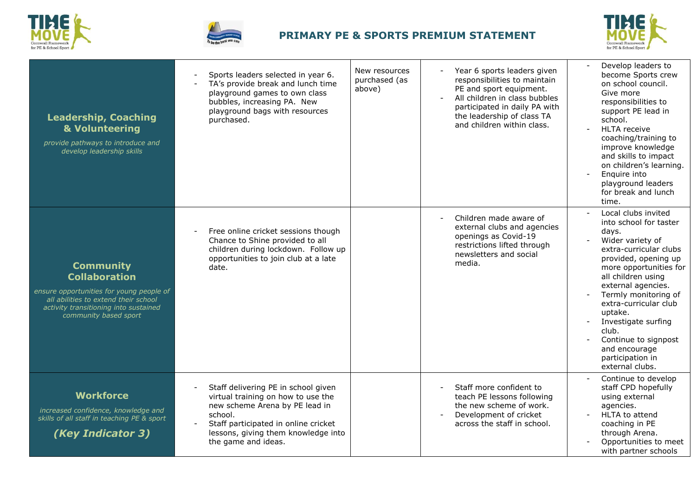





| <b>Leadership, Coaching</b><br>& Volunteering<br>provide pathways to introduce and<br>develop leadership skills                                                                                | Sports leaders selected in year 6.<br>TA's provide break and lunch time<br>playground games to own class<br>bubbles, increasing PA. New<br>playground bags with resources<br>purchased.                                      | New resources<br>purchased (as<br>above) | Year 6 sports leaders given<br>responsibilities to maintain<br>PE and sport equipment.<br>All children in class bubbles<br>participated in daily PA with<br>the leadership of class TA<br>and children within class. | Develop leaders to<br>become Sports crew<br>on school council.<br>Give more<br>responsibilities to<br>support PE lead in<br>school.<br><b>HLTA</b> receive<br>coaching/training to<br>improve knowledge<br>and skills to impact<br>on children's learning.<br>Enquire into<br>playground leaders<br>for break and lunch                                                                 |
|------------------------------------------------------------------------------------------------------------------------------------------------------------------------------------------------|------------------------------------------------------------------------------------------------------------------------------------------------------------------------------------------------------------------------------|------------------------------------------|----------------------------------------------------------------------------------------------------------------------------------------------------------------------------------------------------------------------|-----------------------------------------------------------------------------------------------------------------------------------------------------------------------------------------------------------------------------------------------------------------------------------------------------------------------------------------------------------------------------------------|
| <b>Community</b><br><b>Collaboration</b><br>ensure opportunities for young people of<br>all abilities to extend their school<br>activity transitioning into sustained<br>community based sport | Free online cricket sessions though<br>Chance to Shine provided to all<br>children during lockdown. Follow up<br>opportunities to join club at a late<br>date.                                                               |                                          | Children made aware of<br>external clubs and agencies<br>openings as Covid-19<br>restrictions lifted through<br>newsletters and social<br>media.                                                                     | time.<br>Local clubs invited<br>into school for taster<br>days.<br>Wider variety of<br>extra-curricular clubs<br>provided, opening up<br>more opportunities for<br>all children using<br>external agencies.<br>Termly monitoring of<br>extra-curricular club<br>uptake.<br>Investigate surfing<br>club.<br>Continue to signpost<br>and encourage<br>participation in<br>external clubs. |
| <b>Workforce</b><br>increased confidence, knowledge and<br>skills of all staff in teaching PE & sport<br>(Key Indicator 3)                                                                     | Staff delivering PE in school given<br>virtual training on how to use the<br>new scheme Arena by PE lead in<br>school.<br>Staff participated in online cricket<br>lessons, giving them knowledge into<br>the game and ideas. |                                          | Staff more confident to<br>teach PE lessons following<br>the new scheme of work.<br>Development of cricket<br>across the staff in school.                                                                            | Continue to develop<br>staff CPD hopefully<br>using external<br>agencies.<br>HLTA to attend<br>coaching in PE<br>through Arena.<br>Opportunities to meet<br>with partner schools                                                                                                                                                                                                        |